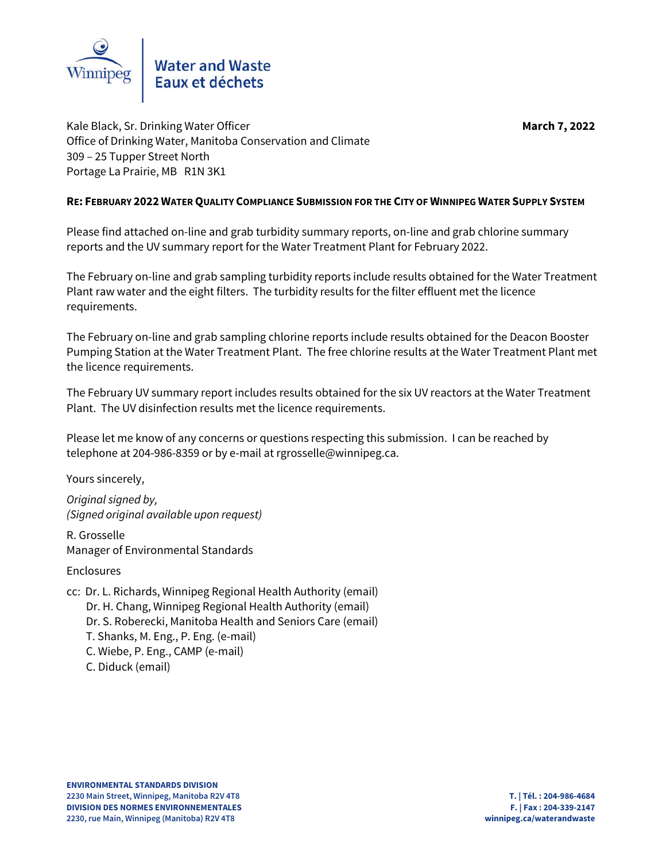

Kale Black, Sr. Drinking Water Officer **March** 7, 2022 Office of Drinking Water, Manitoba Conservation and Climate 309 – 25 Tupper Street North Portage La Prairie, MB R1N 3K1

### **RE: FEBRUARY 2022 WATER QUALITY COMPLIANCE SUBMISSION FOR THE CITY OF WINNIPEG WATER SUPPLY SYSTEM**

Please find attached on-line and grab turbidity summary reports, on-line and grab chlorine summary reports and the UV summary report for the Water Treatment Plant for February 2022.

The February on-line and grab sampling turbidity reports include results obtained for the Water Treatment Plant raw water and the eight filters. The turbidity results for the filter effluent met the licence requirements.

The February on-line and grab sampling chlorine reports include results obtained for the Deacon Booster Pumping Station at the Water Treatment Plant. The free chlorine results at the Water Treatment Plant met the licence requirements.

The February UV summary report includes results obtained for the six UV reactors at the Water Treatment Plant. The UV disinfection results met the licence requirements.

Please let me know of any concerns or questions respecting this submission. I can be reached by telephone at 204-986-8359 or by e-mail at rgrosselle@winnipeg.ca.

Yours sincerely,

*Original signed by, (Signed original available upon request)*

R. Grosselle Manager of Environmental Standards

Enclosures

cc: Dr. L. Richards, Winnipeg Regional Health Authority (email) Dr. H. Chang, Winnipeg Regional Health Authority (email) Dr. S. Roberecki, Manitoba Health and Seniors Care (email) T. Shanks, M. Eng., P. Eng. (e-mail) C. Wiebe, P. Eng., CAMP (e-mail) C. Diduck (email)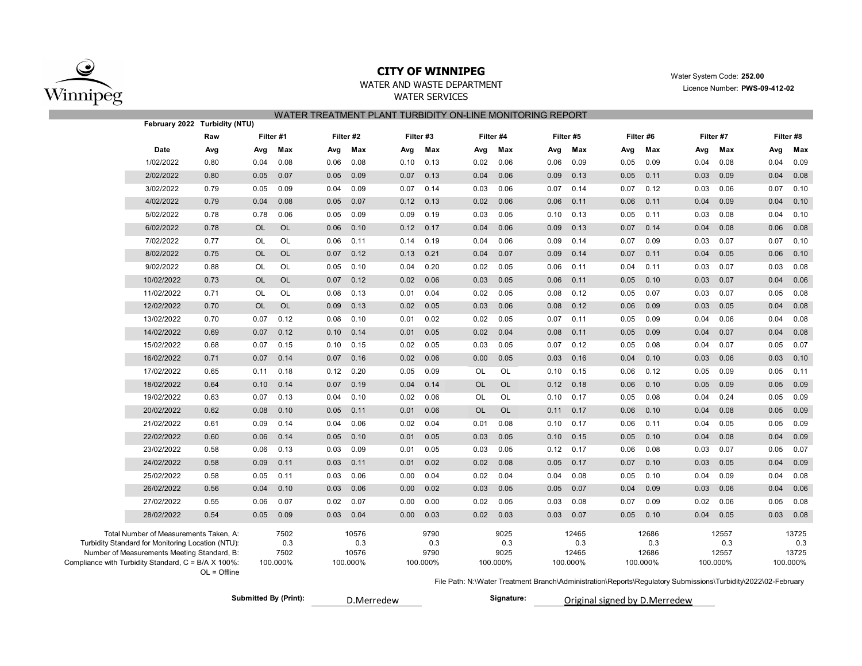

# **CITY OF WINNIPEG** WATER WATER WATER WATER WATER System Code: 252.00

# WATER SERVICES

WATER AND WASTE DEPARTMENT Licence Number: **PWS-09-412-02** 

|                                                     | WATER TREATMENT PLANT TURBIDITY ON-LINE MONITORING REPORT<br>February 2022 Turbidity (NTU) |                |           |           |      |           |      |           |           |           |      |           |      |           |      |           |                                                                                                               |           |
|-----------------------------------------------------|--------------------------------------------------------------------------------------------|----------------|-----------|-----------|------|-----------|------|-----------|-----------|-----------|------|-----------|------|-----------|------|-----------|---------------------------------------------------------------------------------------------------------------|-----------|
|                                                     |                                                                                            |                |           |           |      |           |      |           |           |           |      |           |      |           |      |           |                                                                                                               |           |
|                                                     |                                                                                            | Raw            |           | Filter #1 |      | Filter #2 |      | Filter #3 |           | Filter #4 |      | Filter #5 |      | Filter #6 |      | Filter #7 |                                                                                                               | Filter #8 |
|                                                     | Date                                                                                       | Avg            | Avg       | Max       | Avg  | Max       | Avg  | Max       | Avg       | Max       | Avg  | Max       | Avg  | Max       | Avg  | Max       | Avg                                                                                                           | Max       |
|                                                     | 1/02/2022                                                                                  | 0.80           | 0.04      | 0.08      | 0.06 | 0.08      | 0.10 | 0.13      | 0.02      | 0.06      | 0.06 | 0.09      | 0.05 | 0.09      | 0.04 | 0.08      | 0.04                                                                                                          | 0.09      |
|                                                     | 2/02/2022                                                                                  | 0.80           | 0.05      | 0.07      | 0.05 | 0.09      | 0.07 | 0.13      | 0.04      | 0.06      | 0.09 | 0.13      | 0.05 | 0.11      | 0.03 | 0.09      | 0.04                                                                                                          | 0.08      |
|                                                     | 3/02/2022                                                                                  | 0.79           | 0.05      | 0.09      | 0.04 | 0.09      | 0.07 | 0.14      | 0.03      | 0.06      | 0.07 | 0.14      | 0.07 | 0.12      | 0.03 | 0.06      | 0.07                                                                                                          | 0.10      |
|                                                     | 4/02/2022                                                                                  | 0.79           | 0.04      | 0.08      | 0.05 | 0.07      | 0.12 | 0.13      | 0.02      | 0.06      | 0.06 | 0.11      | 0.06 | 0.11      | 0.04 | 0.09      | 0.04                                                                                                          | 0.10      |
|                                                     | 5/02/2022                                                                                  | 0.78           | 0.78      | 0.06      | 0.05 | 0.09      | 0.09 | 0.19      | 0.03      | 0.05      | 0.10 | 0.13      | 0.05 | 0.11      | 0.03 | 0.08      | 0.04                                                                                                          | 0.10      |
|                                                     | 6/02/2022                                                                                  | 0.78           | <b>OL</b> | OL        | 0.06 | 0.10      | 0.12 | 0.17      | 0.04      | 0.06      | 0.09 | 0.13      | 0.07 | 0.14      | 0.04 | 0.08      | 0.06                                                                                                          | 0.08      |
|                                                     | 7/02/2022                                                                                  | 0.77           | OL        | OL        | 0.06 | 0.11      | 0.14 | 0.19      | 0.04      | 0.06      | 0.09 | 0.14      | 0.07 | 0.09      | 0.03 | 0.07      | 0.07                                                                                                          | 0.10      |
|                                                     | 8/02/2022                                                                                  | 0.75           | <b>OL</b> | <b>OL</b> | 0.07 | 0.12      | 0.13 | 0.21      | 0.04      | 0.07      | 0.09 | 0.14      | 0.07 | 0.11      | 0.04 | 0.05      | 0.06                                                                                                          | 0.10      |
|                                                     | 9/02/2022                                                                                  | 0.88           | OL        | OL        | 0.05 | 0.10      | 0.04 | 0.20      | 0.02      | 0.05      | 0.06 | 0.11      | 0.04 | 0.11      | 0.03 | 0.07      | 0.03                                                                                                          | 0.08      |
|                                                     | 10/02/2022                                                                                 | 0.73           | <b>OL</b> | <b>OL</b> | 0.07 | 0.12      | 0.02 | 0.06      | 0.03      | 0.05      | 0.06 | 0.11      | 0.05 | 0.10      | 0.03 | 0.07      | 0.04                                                                                                          | 0.06      |
|                                                     | 11/02/2022                                                                                 | 0.71           | OL        | OL        | 0.08 | 0.13      | 0.01 | 0.04      | 0.02      | 0.05      | 0.08 | 0.12      | 0.05 | 0.07      | 0.03 | 0.07      | 0.05                                                                                                          | 0.08      |
|                                                     | 12/02/2022                                                                                 | 0.70           | <b>OL</b> | <b>OL</b> | 0.09 | 0.13      | 0.02 | 0.05      | 0.03      | 0.06      | 0.08 | 0.12      | 0.06 | 0.09      | 0.03 | 0.05      | 0.04                                                                                                          | 0.08      |
|                                                     | 13/02/2022                                                                                 | 0.70           | 0.07      | 0.12      | 0.08 | 0.10      | 0.01 | 0.02      | 0.02      | 0.05      | 0.07 | 0.11      | 0.05 | 0.09      | 0.04 | 0.06      | 0.04                                                                                                          | 0.08      |
|                                                     | 14/02/2022                                                                                 | 0.69           | 0.07      | 0.12      | 0.10 | 0.14      | 0.01 | 0.05      | 0.02      | 0.04      | 0.08 | 0.11      | 0.05 | 0.09      | 0.04 | 0.07      | 0.04                                                                                                          | 0.08      |
|                                                     | 15/02/2022                                                                                 | 0.68           | 0.07      | 0.15      | 0.10 | 0.15      | 0.02 | 0.05      | 0.03      | 0.05      | 0.07 | 0.12      | 0.05 | 0.08      | 0.04 | 0.07      | 0.05                                                                                                          | 0.07      |
|                                                     | 16/02/2022                                                                                 | 0.71           | 0.07      | 0.14      | 0.07 | 0.16      | 0.02 | 0.06      | 0.00      | 0.05      | 0.03 | 0.16      | 0.04 | 0.10      | 0.03 | 0.06      | 0.03                                                                                                          | 0.10      |
|                                                     | 17/02/2022                                                                                 | 0.65           | 0.11      | 0.18      | 0.12 | 0.20      | 0.05 | 0.09      | OL        | OL        | 0.10 | 0.15      | 0.06 | 0.12      | 0.05 | 0.09      | 0.05                                                                                                          | 0.11      |
|                                                     | 18/02/2022                                                                                 | 0.64           | 0.10      | 0.14      | 0.07 | 0.19      | 0.04 | 0.14      | <b>OL</b> | <b>OL</b> | 0.12 | 0.18      | 0.06 | 0.10      | 0.05 | 0.09      | 0.05                                                                                                          | 0.09      |
|                                                     | 19/02/2022                                                                                 | 0.63           | 0.07      | 0.13      | 0.04 | 0.10      | 0.02 | 0.06      | OL        | OL        | 0.10 | 0.17      | 0.05 | 0.08      | 0.04 | 0.24      | 0.05                                                                                                          | 0.09      |
|                                                     | 20/02/2022                                                                                 | 0.62           | 0.08      | 0.10      | 0.05 | 0.11      | 0.01 | 0.06      | <b>OL</b> | <b>OL</b> | 0.11 | 0.17      | 0.06 | 0.10      | 0.04 | 0.08      | 0.05                                                                                                          | 0.09      |
|                                                     | 21/02/2022                                                                                 | 0.61           | 0.09      | 0.14      | 0.04 | 0.06      | 0.02 | 0.04      | 0.01      | 0.08      | 0.10 | 0.17      | 0.06 | 0.11      | 0.04 | 0.05      | 0.05                                                                                                          | 0.09      |
|                                                     | 22/02/2022                                                                                 | 0.60           | 0.06      | 0.14      | 0.05 | 0.10      | 0.01 | 0.05      | 0.03      | 0.05      | 0.10 | 0.15      | 0.05 | 0.10      | 0.04 | 0.08      | 0.04                                                                                                          | 0.09      |
|                                                     | 23/02/2022                                                                                 | 0.58           | 0.06      | 0.13      | 0.03 | 0.09      | 0.01 | 0.05      | 0.03      | 0.05      | 0.12 | 0.17      | 0.06 | 0.08      | 0.03 | 0.07      | 0.05                                                                                                          | 0.07      |
|                                                     | 24/02/2022                                                                                 | 0.58           | 0.09      | 0.11      | 0.03 | 0.11      | 0.01 | 0.02      | 0.02      | 0.08      | 0.05 | 0.17      | 0.07 | 0.10      | 0.03 | 0.05      | 0.04                                                                                                          | 0.09      |
|                                                     | 25/02/2022                                                                                 | 0.58           | 0.05      | 0.11      | 0.03 | 0.06      | 0.00 | 0.04      | 0.02      | 0.04      | 0.04 | 0.08      | 0.05 | 0.10      | 0.04 | 0.09      | 0.04                                                                                                          | 0.08      |
|                                                     | 26/02/2022                                                                                 | 0.56           | 0.04      | 0.10      | 0.03 | 0.06      | 0.00 | 0.02      | 0.03      | 0.05      | 0.05 | 0.07      | 0.04 | 0.09      | 0.03 | 0.06      | 0.04                                                                                                          | 0.06      |
|                                                     | 27/02/2022                                                                                 | 0.55           | 0.06      | 0.07      | 0.02 | 0.07      | 0.00 | 0.00      | 0.02      | 0.05      | 0.03 | 0.08      | 0.07 | 0.09      | 0.02 | 0.06      | 0.05                                                                                                          | 0.08      |
|                                                     | 28/02/2022                                                                                 | 0.54           | 0.05      | 0.09      | 0.03 | 0.04      | 0.00 | 0.03      | 0.02      | 0.03      | 0.03 | 0.07      | 0.05 | 0.10      | 0.04 | 0.05      | 0.03                                                                                                          | 0.08      |
|                                                     | Total Number of Measurements Taken, A:                                                     |                |           | 7502      |      | 10576     |      | 9790      |           | 9025      |      | 12465     |      | 12686     |      | 12557     |                                                                                                               | 13725     |
|                                                     | Turbidity Standard for Monitoring Location (NTU):                                          |                |           | 0.3       |      | 0.3       |      | 0.3       |           | 0.3       |      | 0.3       |      | 0.3       |      | 0.3       |                                                                                                               | 0.3       |
|                                                     | Number of Measurements Meeting Standard, B:                                                |                |           | 7502      |      | 10576     |      | 9790      |           | 9025      |      | 12465     |      | 12686     |      | 12557     |                                                                                                               | 13725     |
| Compliance with Turbidity Standard, C = B/A X 100%: |                                                                                            | $OL = Offline$ |           | 100.000%  |      | 100.000%  |      | 100.000%  |           | 100.000%  |      | 100.000%  |      | 100.000%  |      | 100.000%  |                                                                                                               | 100.000%  |
|                                                     |                                                                                            |                |           |           |      |           |      |           |           |           |      |           |      |           |      |           | File Path: N:\Water Treatment Branch\Administration\Reports\Regulatory Submissions\Turbidity\2022\02-February |           |
|                                                     |                                                                                            |                |           |           |      |           |      |           |           |           |      |           |      |           |      |           |                                                                                                               |           |

Submitted By (Print): **Bubmitted By (Print): Signature: Signature:** 

D.Merredew Original signed by D.Merredew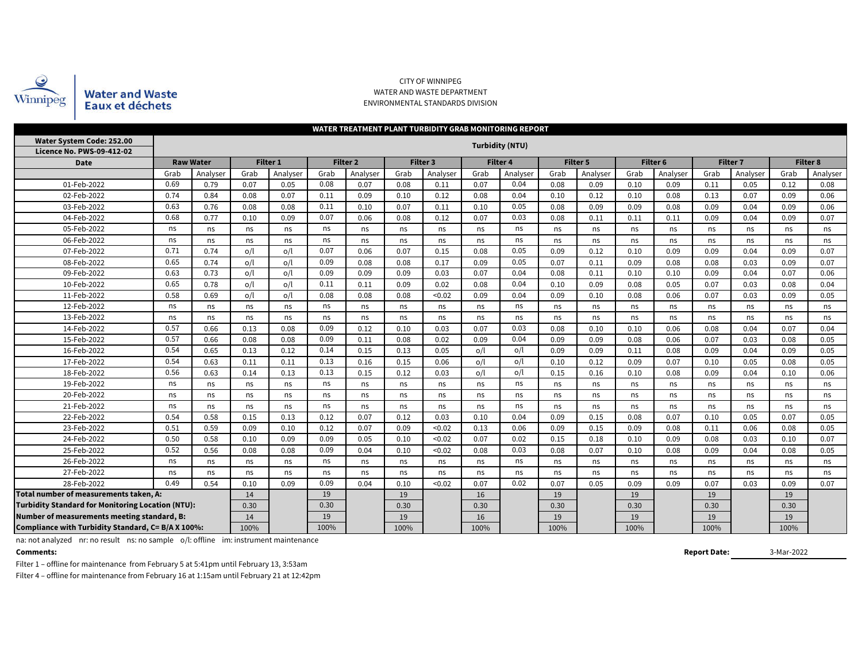

Water and Waste<br>Eaux et déchets

#### CITY OF WINNIPEG WATER AND WASTE DEPARTMENT ENVIRONMENTAL STANDARDS DIVISION

|                                                          | <b>WATER TREATMENT PLANT TURBIDITY GRAB MONITORING REPORT</b> |                  |      |                 |      |                     |      |                 |      |                 |      |                 |      |          |      |                 |      |                 |
|----------------------------------------------------------|---------------------------------------------------------------|------------------|------|-----------------|------|---------------------|------|-----------------|------|-----------------|------|-----------------|------|----------|------|-----------------|------|-----------------|
| Water System Code: 252.00                                |                                                               |                  |      |                 |      |                     |      |                 |      | Turbidity (NTU) |      |                 |      |          |      |                 |      |                 |
| <b>Licence No. PWS-09-412-02</b>                         |                                                               |                  |      |                 |      |                     |      |                 |      |                 |      |                 |      |          |      |                 |      |                 |
| <b>Date</b>                                              |                                                               | <b>Raw Water</b> |      | <b>Filter 1</b> |      | Filter <sub>2</sub> |      | <b>Filter 3</b> |      | <b>Filter 4</b> |      | <b>Filter 5</b> |      | Filter 6 |      | <b>Filter 7</b> |      | <b>Filter 8</b> |
|                                                          | Grab                                                          | Analyser         | Grab | Analyser        | Grab | Analyser            | Grab | Analyser        | Grab | Analyser        | Grab | Analyser        | Grab | Analyser | Grab | Analyser        | Grab | Analyser        |
| 01-Feb-2022                                              | 0.69                                                          | 0.79             | 0.07 | 0.05            | 0.08 | 0.07                | 0.08 | 0.11            | 0.07 | 0.04            | 0.08 | 0.09            | 0.10 | 0.09     | 0.11 | 0.05            | 0.12 | 0.08            |
| 02-Feb-2022                                              | 0.74                                                          | 0.84             | 0.08 | 0.07            | 0.11 | 0.09                | 0.10 | 0.12            | 0.08 | 0.04            | 0.10 | 0.12            | 0.10 | 0.08     | 0.13 | 0.07            | 0.09 | 0.06            |
| 03-Feb-2022                                              | 0.63                                                          | 0.76             | 0.08 | 0.08            | 0.11 | 0.10                | 0.07 | 0.11            | 0.10 | 0.05            | 0.08 | 0.09            | 0.09 | 0.08     | 0.09 | 0.04            | 0.09 | 0.06            |
| 0.68<br>04-Feb-2022                                      |                                                               | 0.77             | 0.10 | 0.09            | 0.07 | 0.06                | 0.08 | 0.12            | 0.07 | 0.03            | 0.08 | 0.11            | 0.11 | 0.11     | 0.09 | 0.04            | 0.09 | 0.07            |
| 05-Feb-2022<br>ns                                        |                                                               | ns               | ns   | ns              | ns   | ns                  | ns   | ns              | ns   | ns              | ns   | ns              | ns   | ns       | ns   | ns              | ns   | ns              |
| 06-Feb-2022<br>ns                                        |                                                               | ns               | ns   | ns              | ns   | ns                  | ns   | ns              | ns   | ns              | ns   | ns              | ns   | ns       | ns   | ns              | ns   | ns              |
| 07-Feb-2022                                              | 0.71                                                          | 0.74             | o/l  | o/l             | 0.07 | 0.06                | 0.07 | 0.15            | 0.08 | 0.05            | 0.09 | 0.12            | 0.10 | 0.09     | 0.09 | 0.04            | 0.09 | 0.07            |
| 08-Feb-2022                                              | 0.65                                                          | 0.74             | o/l  | o/l             | 0.09 | 0.08                | 0.08 | 0.17            | 0.09 | 0.05            | 0.07 | 0.11            | 0.09 | 0.08     | 0.08 | 0.03            | 0.09 | 0.07            |
| 09-Feb-2022                                              | 0.63                                                          | 0.73             | o/l  | o/l             | 0.09 | 0.09                | 0.09 | 0.03            | 0.07 | 0.04            | 0.08 | 0.11            | 0.10 | 0.10     | 0.09 | 0.04            | 0.07 | 0.06            |
| 10-Feb-2022                                              | 0.65                                                          | 0.78             | o/l  | o/l             | 0.11 | 0.11                | 0.09 | 0.02            | 0.08 | 0.04            | 0.10 | 0.09            | 0.08 | 0.05     | 0.07 | 0.03            | 0.08 | 0.04            |
| 11-Feb-2022                                              | 0.58                                                          | 0.69             | O/l  | o/l             | 0.08 | 0.08                | 0.08 | < 0.02          | 0.09 | 0.04            | 0.09 | 0.10            | 0.08 | 0.06     | 0.07 | 0.03            | 0.09 | 0.05            |
| 12-Feb-2022                                              | ns                                                            | ns               | ns   | ns              | ns   | ns                  | ns   | ns              | ns   | ns              | ns   | ns              | ns   | ns       | ns   | ns              | ns   | ns              |
| 13-Feb-2022                                              | ns                                                            | ns               | ns   | ns              | ns   | ns                  | ns   | ns              | ns   | ns              | ns   | ns              | ns   | ns       | ns   | ns              | ns   | ns              |
| 14-Feb-2022                                              | 0.57                                                          | 0.66             | 0.13 | 0.08            | 0.09 | 0.12                | 0.10 | 0.03            | 0.07 | 0.03            | 0.08 | 0.10            | 0.10 | 0.06     | 0.08 | 0.04            | 0.07 | 0.04            |
| 15-Feb-2022                                              | 0.57                                                          | 0.66             | 0.08 | 0.08            | 0.09 | 0.11                | 0.08 | 0.02            | 0.09 | 0.04            | 0.09 | 0.09            | 0.08 | 0.06     | 0.07 | 0.03            | 0.08 | 0.05            |
| 16-Feb-2022                                              | 0.54                                                          | 0.65             | 0.13 | 0.12            | 0.14 | 0.15                | 0.13 | 0.05            | o/l  | o/l             | 0.09 | 0.09            | 0.11 | 0.08     | 0.09 | 0.04            | 0.09 | 0.05            |
| 17-Feb-2022                                              | 0.54                                                          | 0.63             | 0.11 | 0.11            | 0.13 | 0.16                | 0.15 | 0.06            | o/l  | o/l             | 0.10 | 0.12            | 0.09 | 0.07     | 0.10 | 0.05            | 0.08 | 0.05            |
| 18-Feb-2022                                              | 0.56                                                          | 0.63             | 0.14 | 0.13            | 0.13 | 0.15                | 0.12 | 0.03            | o/l  | o/l             | 0.15 | 0.16            | 0.10 | 0.08     | 0.09 | 0.04            | 0.10 | 0.06            |
| 19-Feb-2022                                              | ns                                                            | ns               | ns   | ns              | ns   | ns                  | ns   | ns              | ns   | ns              | ns   | ns              | ns   | ns       | ns   | ns              | ns   | ns              |
| 20-Feb-2022                                              | ns                                                            | ns               | ns   | ns              | ns   | ns                  | ns   | ns              | ns   | ns              | ns   | ns              | ns   | ns       | ns   | ns              | ns   | ns              |
| 21-Feb-2022                                              | ns                                                            | ns               | ns   | ns              | ns   | ns                  | ns   | ns              | ns   | ns              | ns   | ns              | ns   | ns       | ns   | ns              | ns   | ns              |
| 22-Feb-2022                                              | 0.54                                                          | 0.58             | 0.15 | 0.13            | 0.12 | 0.07                | 0.12 | 0.03            | 0.10 | 0.04            | 0.09 | 0.15            | 0.08 | 0.07     | 0.10 | 0.05            | 0.07 | 0.05            |
| 23-Feb-2022                                              | 0.51                                                          | 0.59             | 0.09 | 0.10            | 0.12 | 0.07                | 0.09 | < 0.02          | 0.13 | 0.06            | 0.09 | 0.15            | 0.09 | 0.08     | 0.11 | 0.06            | 0.08 | 0.05            |
| 24-Feb-2022                                              | 0.50                                                          | 0.58             | 0.10 | 0.09            | 0.09 | 0.05                | 0.10 | < 0.02          | 0.07 | 0.02            | 0.15 | 0.18            | 0.10 | 0.09     | 0.08 | 0.03            | 0.10 | 0.07            |
| 25-Feb-2022                                              | 0.52                                                          | 0.56             | 0.08 | 0.08            | 0.09 | 0.04                | 0.10 | < 0.02          | 0.08 | 0.03            | 0.08 | 0.07            | 0.10 | 0.08     | 0.09 | 0.04            | 0.08 | 0.05            |
| 26-Feb-2022                                              | ns                                                            | ns               | ns   | ns              | ns   | ns                  | ns   | ns              | ns   | ns              | ns   | ns              | ns   | ns       | ns   | ns              | ns   | ns              |
| 27-Feb-2022                                              | ns                                                            | ns               | ns   | ns              | ns   | ns                  | ns   | ns              | ns   | ns              | ns   | ns              | ns   | ns       | ns   | ns              | ns   | ns              |
| 28-Feb-2022                                              | 0.49                                                          | 0.54             | 0.10 | 0.09            | 0.09 | 0.04                | 0.10 | < 0.02          | 0.07 | 0.02            | 0.07 | 0.05            | 0.09 | 0.09     | 0.07 | 0.03            | 0.09 | 0.07            |
| Total number of measurements taken, A:                   |                                                               |                  |      |                 |      |                     | 19   |                 | 16   |                 | 19   |                 | 19   |          | 19   |                 | 19   |                 |
| <b>Turbidity Standard for Monitoring Location (NTU):</b> |                                                               |                  | 0.30 |                 | 0.30 |                     | 0.30 |                 | 0.30 |                 | 0.30 |                 | 0.30 |          | 0.30 |                 | 0.30 |                 |
| Number of measurements meeting standard, B:              | 14                                                            |                  | 19   |                 | 19   |                     | 16   |                 | 19   |                 | 19   |                 | 19   |          | 19   |                 |      |                 |
| Compliance with Turbidity Standard, C= B/A X 100%:       |                                                               | 100%             |      | 100%            |      | 100%                |      | 100%            |      | 100%            |      | 100%            |      | 100%     |      | 100%            |      |                 |

na: not analyzed nr: no result ns: no sample o/l: offline im: instrument maintenance

**Comments:**

**Report Date:**

3-Mar-2022

Filter 1 – offline for maintenance from February 5 at 5:41pm until February 13, 3:53am

Filter 4 – offline for maintenance from February 16 at 1:15am until February 21 at 12:42pm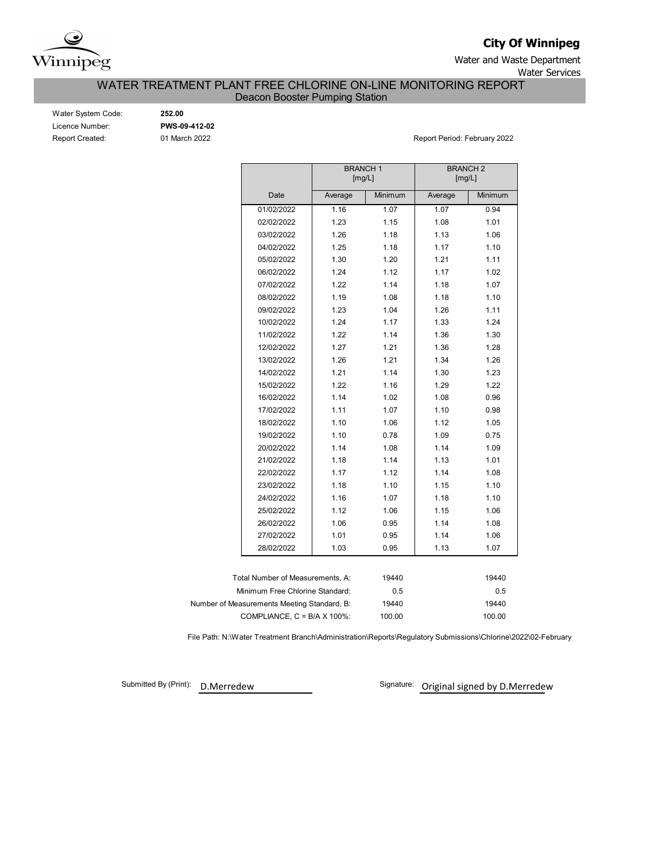

**City Of Winnipeg**

Water and Waste Department Water Services

## WATER TREATMENT PLANT FREE CHLORINE ON-LINE MONITORING REPORT

Deacon Booster Pumping Station

| Water System Code:     |
|------------------------|
| Licence Number:        |
| <b>Report Created:</b> |

Water System Code: **252.00** Licence Number: **PWS-09-412-02**

01 March 2022 **Report Period: February 2022** 

|                                             | <b>BRANCH1</b> | [mg/L]  | <b>BRANCH2</b><br>[mg/L] |         |  |  |
|---------------------------------------------|----------------|---------|--------------------------|---------|--|--|
| Date                                        | Average        | Minimum | Average                  | Minimum |  |  |
| 01/02/2022                                  | 1.16           | 1.07    | 1.07                     | 0.94    |  |  |
| 02/02/2022                                  | 1.23           | 1.15    | 1.08                     | 1.01    |  |  |
| 03/02/2022                                  | 1.26           | 1.18    | 1.13                     | 1.06    |  |  |
| 04/02/2022                                  | 1.25           | 1.18    | 1.17                     | 1.10    |  |  |
| 05/02/2022                                  | 1.30           | 1.20    | 1.21                     | 1.11    |  |  |
| 06/02/2022                                  | 1.24           | 1.12    | 1.17                     | 1.02    |  |  |
| 07/02/2022                                  | 1.22           | 1.14    | 1.18                     | 1.07    |  |  |
| 08/02/2022                                  | 1.19           | 1.08    | 1.18                     | 1.10    |  |  |
| 09/02/2022                                  | 1.23           | 1.04    | 1.26                     | 1.11    |  |  |
| 10/02/2022                                  | 1.24           | 1.17    | 1.33                     | 1.24    |  |  |
| 11/02/2022                                  | 1.22           | 1.14    | 1.36                     | 1.30    |  |  |
| 12/02/2022                                  | 1.27           | 1.21    | 1.36                     | 1.28    |  |  |
| 13/02/2022                                  | 1.26           | 1.21    | 1.34                     | 1.26    |  |  |
| 14/02/2022                                  | 1.21           | 1.14    | 1.30                     | 1.23    |  |  |
| 15/02/2022                                  | 1.22           | 1.16    | 1.29                     | 1.22    |  |  |
| 16/02/2022                                  | 1.14           | 1.02    | 1.08                     | 0.96    |  |  |
| 17/02/2022                                  | 1.11           | 1.07    | 1.10                     | 0.98    |  |  |
| 18/02/2022                                  | 1.10           | 1.06    | 1.12                     | 1.05    |  |  |
| 19/02/2022                                  | 1.10           | 0.78    | 1.09                     | 0.75    |  |  |
| 20/02/2022                                  | 1.14           | 1.08    | 1.14                     | 1.09    |  |  |
| 21/02/2022                                  | 1.18           | 1.14    | 1.13                     | 1.01    |  |  |
| 22/02/2022                                  | 1.17           | 1.12    | 1.14                     | 1.08    |  |  |
| 23/02/2022                                  | 1.18           | 1.10    | 1.15                     | 1.10    |  |  |
| 24/02/2022                                  | 1.16           | 1.07    | 1.18                     | 1.10    |  |  |
| 25/02/2022                                  | 1.12           | 1.06    | 1.15                     | 1.06    |  |  |
| 26/02/2022                                  | 1.06           | 0.95    | 1.14                     | 1.08    |  |  |
| 27/02/2022                                  | 1.01           | 0.95    | 1.14                     | 1.06    |  |  |
| 28/02/2022                                  | 1.03           | 0.95    | 1.13                     | 1.07    |  |  |
|                                             |                |         |                          |         |  |  |
| Total Number of Measurements, A:            |                | 19440   |                          | 19440   |  |  |
| Minimum Free Chlorine Standard:             |                | 0.5     |                          | 0.5     |  |  |
| Number of Measurements Meeting Standard, B: |                | 19440   |                          | 19440   |  |  |
| COMPLIANCE, $C = B/A \times 100\%$ :        |                | 100.00  |                          | 100.00  |  |  |

File Path: N:\Water Treatment Branch\Administration\Reports\Regulatory Submissions\Chlorine\2022\02-February

Submitted By (Print): D. Merredew

Signature: Original signed by D.Merredew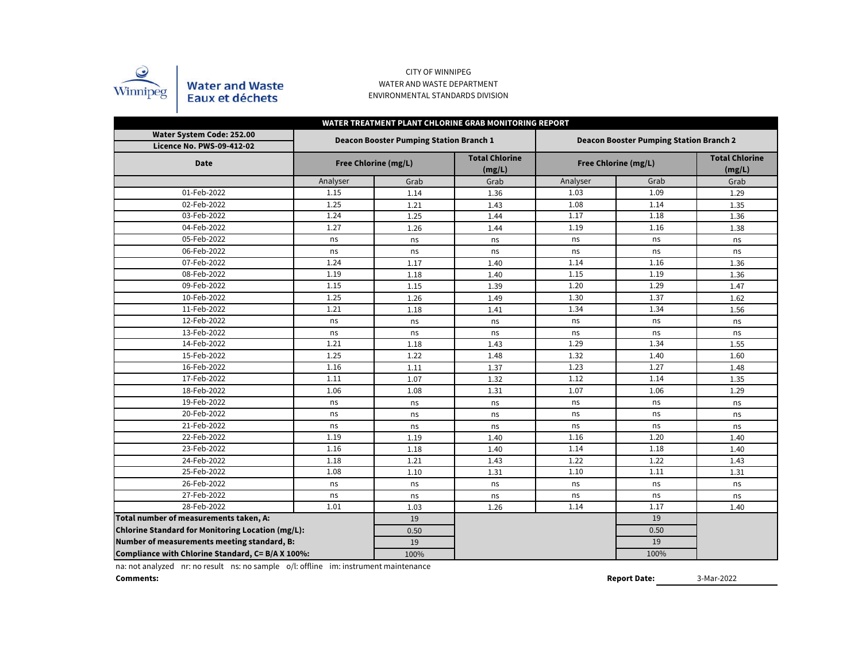

#### CITY OF WINNIPEG WATER AND WASTE DEPARTMENT ENVIRONMENTAL STANDARDS DIVISION

| WATER TREATMENT PLANT CHLORINE GRAB MONITORING REPORT         |          |                                                |                                 |          |                                                |                                 |  |  |  |  |  |  |  |
|---------------------------------------------------------------|----------|------------------------------------------------|---------------------------------|----------|------------------------------------------------|---------------------------------|--|--|--|--|--|--|--|
| Water System Code: 252.00<br><b>Licence No. PWS-09-412-02</b> |          | <b>Deacon Booster Pumping Station Branch 1</b> |                                 |          | <b>Deacon Booster Pumping Station Branch 2</b> |                                 |  |  |  |  |  |  |  |
| <b>Date</b>                                                   |          | Free Chlorine (mg/L)                           | <b>Total Chlorine</b><br>(mg/L) |          | Free Chlorine (mg/L)                           | <b>Total Chlorine</b><br>(mg/L) |  |  |  |  |  |  |  |
|                                                               | Analyser | Grab                                           | Grab                            | Analyser | Grab                                           | Grab                            |  |  |  |  |  |  |  |
| 01-Feb-2022                                                   | 1.15     | 1.14                                           | 1.36                            | 1.03     | 1.09                                           | 1.29                            |  |  |  |  |  |  |  |
| 02-Feb-2022                                                   | 1.25     | 1.21                                           | 1.43                            | 1.08     | 1.14                                           | 1.35                            |  |  |  |  |  |  |  |
| 03-Feb-2022                                                   | 1.24     | 1.25                                           | 1.44                            | 1.17     | 1.18                                           | 1.36                            |  |  |  |  |  |  |  |
| 04-Feb-2022                                                   | 1.27     | 1.26                                           | 1.44                            | 1.19     | 1.16                                           | 1.38                            |  |  |  |  |  |  |  |
| 05-Feb-2022                                                   | ns       | ns                                             | ns                              | ns       | ns                                             | ns                              |  |  |  |  |  |  |  |
| 06-Feb-2022                                                   | ns       | ns                                             | ns                              | ns       | ns                                             | ns                              |  |  |  |  |  |  |  |
| 07-Feb-2022                                                   | 1.24     | 1.17                                           | 1.40                            | 1.14     | 1.16                                           | 1.36                            |  |  |  |  |  |  |  |
| 08-Feb-2022                                                   | 1.19     | 1.18                                           | 1.40                            | 1.15     | 1.19                                           | 1.36                            |  |  |  |  |  |  |  |
| 09-Feb-2022                                                   | 1.15     | 1.15                                           | 1.39                            | 1.20     | 1.29                                           | 1.47                            |  |  |  |  |  |  |  |
| 10-Feb-2022                                                   | 1.25     | 1.26                                           | 1.49                            | 1.30     | 1.37                                           | 1.62                            |  |  |  |  |  |  |  |
| 11-Feb-2022                                                   | 1.21     | 1.18                                           | 1.41                            | 1.34     | 1.34                                           | 1.56                            |  |  |  |  |  |  |  |
| 12-Feb-2022                                                   | ns       | ns                                             | ns                              | ns       | ns                                             | ns                              |  |  |  |  |  |  |  |
| 13-Feb-2022                                                   | ns       | ns                                             | ns                              | ns       | ns                                             | ns                              |  |  |  |  |  |  |  |
| 14-Feb-2022                                                   | 1.21     | 1.18                                           | 1.43                            | 1.29     | 1.34                                           | 1.55                            |  |  |  |  |  |  |  |
| 15-Feb-2022                                                   | 1.25     | 1.22                                           | 1.48                            | 1.32     | 1.40                                           | 1.60                            |  |  |  |  |  |  |  |
| 16-Feb-2022                                                   | 1.16     | 1.11                                           | 1.37                            | 1.23     | 1.27                                           | 1.48                            |  |  |  |  |  |  |  |
| 17-Feb-2022                                                   | 1.11     | 1.07                                           | 1.32                            | 1.12     | 1.14                                           | 1.35                            |  |  |  |  |  |  |  |
| 18-Feb-2022                                                   | 1.06     | 1.08                                           | 1.31                            | 1.07     | 1.06                                           | 1.29                            |  |  |  |  |  |  |  |
| 19-Feb-2022                                                   | ns       | ns                                             | ns                              | ns       | ns                                             | ns                              |  |  |  |  |  |  |  |
| 20-Feb-2022                                                   | ns       | ns                                             | ns                              | ns       | ns                                             | ns                              |  |  |  |  |  |  |  |
| 21-Feb-2022                                                   | ns       | ns                                             | ns                              | ns       | ns                                             | ns                              |  |  |  |  |  |  |  |
| 22-Feb-2022                                                   | 1.19     | 1.19                                           | 1.40                            | 1.16     | 1.20                                           | 1.40                            |  |  |  |  |  |  |  |
| 23-Feb-2022                                                   | 1.16     | 1.18                                           | 1.40                            | 1.14     | 1.18                                           | 1.40                            |  |  |  |  |  |  |  |
| 24-Feb-2022                                                   | 1.18     | 1.21                                           | 1.43                            | 1.22     | 1.22                                           | 1.43                            |  |  |  |  |  |  |  |
| 25-Feb-2022                                                   | 1.08     | 1.10                                           | 1.31                            | 1.10     | 1.11                                           | 1.31                            |  |  |  |  |  |  |  |
| 26-Feb-2022                                                   | ns       | ns                                             | ns                              | ns       | ns                                             | ns                              |  |  |  |  |  |  |  |
| 27-Feb-2022                                                   | ns       | ns                                             | ns                              | ns       | ns                                             | ns                              |  |  |  |  |  |  |  |
| 28-Feb-2022                                                   | 1.01     | 1.03                                           | 1.26                            | 1.14     | 1.17                                           | 1.40                            |  |  |  |  |  |  |  |
| Total number of measurements taken, A:                        |          | 19                                             |                                 |          | 19                                             |                                 |  |  |  |  |  |  |  |
| Chlorine Standard for Monitoring Location (mg/L):             |          | 0.50                                           |                                 |          | 0.50                                           |                                 |  |  |  |  |  |  |  |
| Number of measurements meeting standard, B:                   |          | 19                                             |                                 |          | 19                                             |                                 |  |  |  |  |  |  |  |
| Compliance with Chlorine Standard, C= B/A X 100%:             |          | 100%                                           |                                 |          | 100%                                           |                                 |  |  |  |  |  |  |  |

na: not analyzed nr: no result ns: no sample o/l: offline im: instrument maintenance

**Comments:**

**Report Date:**

3-Mar-2022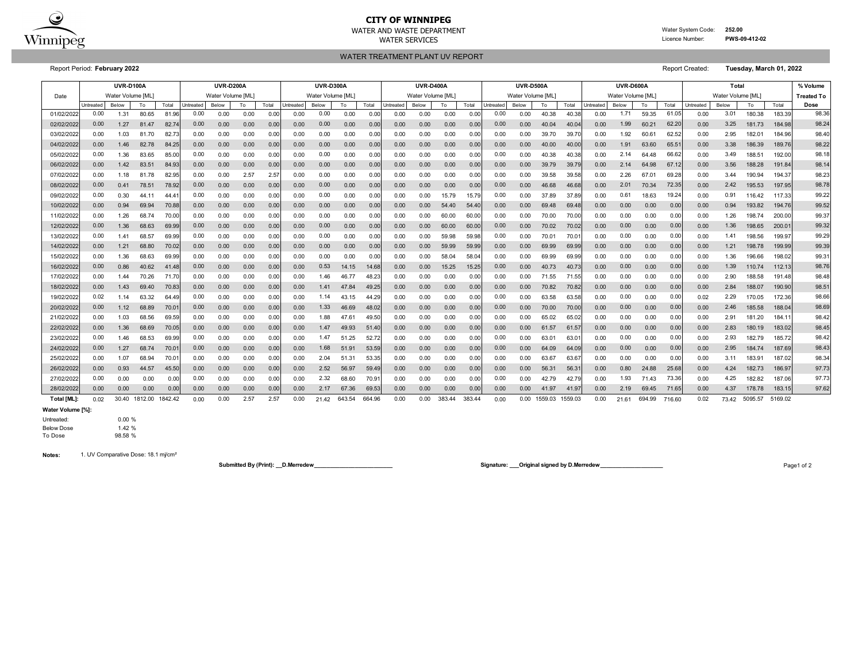

## **CITY OF WINNIPEG**

WATER AND WASTE DEPARTMENT Water System Code: **252.00** WATER SERVICES **EXAMPLE SERVICES Licence Number: PWS-09-412-02** 

WATER TREATMENT PLANT UV REPORT

Report Period: **February 2022** Report Created: **Tuesday, March 01, 2022**

|             | <b>UVR-D100A</b> |                   |         |         |           | <b>UVR-D200A</b>  |      |       | <b>UVR-D300A</b> |                   |        |                   | <b>UVR-D400A</b> |                  |        | <b>UVR-D500A</b> |           |                   |         | UVR-D600A |                  |                   |        | Total  |                   |       |         | % Volume           |                   |
|-------------|------------------|-------------------|---------|---------|-----------|-------------------|------|-------|------------------|-------------------|--------|-------------------|------------------|------------------|--------|------------------|-----------|-------------------|---------|-----------|------------------|-------------------|--------|--------|-------------------|-------|---------|--------------------|-------------------|
| Date        |                  | Water Volume [ML] |         |         |           | Water Volume [ML] |      |       |                  | Water Volume [ML] |        |                   |                  | Water Volume IML |        |                  |           | Water Volume [ML] |         |           |                  | Water Volume [ML] |        |        | Water Volume [ML] |       |         |                    | <b>Treated To</b> |
|             | Untreated        | Below             | To      | Total   | Untreated | <b>Below</b>      | To   | Total | <b>Jntreated</b> | Below             | To     | Total             | <b>Jntreated</b> | Below            | To     | Total            | Untreated | Below             | To      | Total     | <b>Jntreated</b> | Below             | To     | Total  | Untreated         | Below | To      | Total              | Dose              |
| 01/02/202   | 0.00             | 1.31              | 80.65   | 81.96   | 0.00      | 0.00              | 0.00 | 0.00  | 0.00             | 0.00              | 0.00   | 0.00              | 0.00             | 0.00             | 0.00   | 0.00             | 0.00      | 0.00              | 40.38   | 40.3      | 0.00             | 1.71              | 59.35  | 61.05  | 0.00              | 3.01  | 180.38  | 183.39             | 98.36             |
| 02/02/202   | 0.00             | 1.27              | 81.47   | 82.7    | 0.00      | 0.00              | 0.00 | 0.00  | 0.00             | 0.00              | 0.00   | 0.00              | 0.00             | 0.00             | 0.00   | 0.00             | 0.00      | 0.00              | 40.04   | 40.04     | 0.00             | 1.99              | 60.21  | 62.2   | 0.00              | 3.25  | 181.73  | 184.98             | 98.24             |
| 03/02/2022  | 0.00             | 1.03              | 81.70   | 82.73   | 0.00      | 0.00              | 0.00 | 0.00  | 0.00             | 0.00              | 0.00   | 0.00              | 0.00             | 0.00             | 0.00   | 0.00             | 0.00      | 0.00              | 39.70   | 39.70     | 0.00             | 1.92              | 60.61  | 62.52  | 0.00              | 2.95  | 182.01  | 184.96             | 98.40             |
| 04/02/2022  | 0.00             | 1.46              | 82.78   | 84.25   | 0.00      | 0.00              | 0.00 | 0.00  | 0.00             | 0.00              | 0.00   | 0.00              | 0.00             | 0.00             | 0.00   | 0.00             | 0.00      | 0.00              | 40.00   | 40.00     | 0.00             | 1.91              | 63.60  | 65.51  | 0.00              | 3.38  | 186.39  | 189.76             | 98.22             |
| 05/02/2022  | 0.00             | 1.36              | 83.65   | 85.0    | 0.00      | 0.00              | 0.00 | 0.00  | 0.00             | 0.00              | 0.00   | 0.00              | 0.00             | 0.00             | 0.00   | 0.00             | 0.00      | 0.00              | 40.38   | 40.3      | 0.00             | 2.14              | 64.48  | 66.6   | 0.00              | 3.49  | 188.51  | 192.00             | 98.18             |
| 06/02/2022  | 0.00             | 1.42              | 83.51   | 84.93   | 0.00      | 0.00              | 0.00 | 0.00  | 0.00             | 0.00              | 0.00   | 0.00              | 0.00             | 0.00             | 0.00   | 0.00             | 0.00      | 0.00              | 39.79   | 39.7      | 0.00             | 2.14              | 64.98  | 67.1   | 0.00              | 3.56  | 188.28  | 191.84             | 98.14             |
| 07/02/2022  | 0.00             | 1.18              | 81.78   | 82.95   | 0.00      | 0.00              | 2.57 | 2.5   | 0.00             | 0.00              | 0.00   | 0.00              | 0.00             | 0.00             | 0.00   | 0.00             | 0.00      | 0.00              | 39.58   | 39.58     | 0.00             | 2.26              | 67.01  | 69.28  | 0.00              | 3.44  | 190.94  | 194.37             | 98.23             |
| 08/02/2022  | 0.00             | 0.41              | 78.51   | 78.92   | 0.00      | 0.00              | 0.00 | 0.00  | 0.00             | 0.00              | 0.00   | 0.00              | 0.00             | 0.00             | 0.00   | 0.00             | 0.00      | 0.00              | 46.68   | 46.68     | 0.00             | 2.01              | 70.34  | 72.35  | 0.00              | 2.42  | 195.53  | 197.95             | 98.78             |
| 09/02/2022  | 0.00             | 0.30              | 44.11   | 44.4    | 0.00      | 0.00              | 0.00 | 0.00  | 0.00             | 0.00              | 0.00   | 0.00              | 0.00             | 0.00             | 15.79  | 15.79            | 0.00      | 0.00              | 37.89   | 37.89     | 0.00             | 0.61              | 18.63  | 19.24  | 0.00              | 0.91  | 116.42  | 117.33             | 99.22             |
| 10/02/2022  | 0.00             | 0.94              | 69.94   | 70.88   | 0.00      | 0.00              | 0.00 | 0.00  | 0.00             | 0.00              | 0.00   | 0.00              | 0.00             | 0.00             | 54.40  | 54.40            | 0.00      | 0.00              | 69.48   | 69.48     | 0.00             | 0.00              | 0.00   | 0.00   | 0.00              | 0.94  | 193.82  | 194.76             | 99.52             |
| 11/02/2022  | 0.00             | 1.26              | 68.74   | 70.0    | 0.00      | 0.00              | 0.00 | 0.00  | 0.00             | 0.00              | 0.00   | 0.00              | 0.00             | 0.00             | 60.00  | 60.0             | 0.00      | 0.00              | 70.00   | 70.00     | 0.00             | 0.00              | 0.00   | 0.00   | 0.00              | 1.26  | 198.74  | 200.00             | 99.37             |
| 12/02/2022  | 0.00             | 1.36              | 68.63   | 69.99   | 0.00      | 0.00              | 0.00 | 0.00  | 0.00             | 0.00              | 0.00   | 0.00              | 0.00             | 0.00             | 60.00  | 60.0             | 0.00      | 0.00              | 70.02   | 70.0      | 0.00             | 0.00              | 0.00   | 0.00   | 0.00              | 1.36  | 198.65  | 200.0 <sup>2</sup> | 99.32             |
| 13/02/2022  | 0.00             | 1.41              | 68.57   | 69.99   | 0.00      | 0.00              | 0.00 | 0.00  | 0.00             | 0.00              | 0.00   | 0.00              | 0.00             | 0.00             | 59.98  | 59.98            | 0.00      | 0.00              | 70.01   | 70.0      | 0.00             | 0.00              | 0.00   | 0.00   | 0.00              | 1.41  | 198.56  | 199.97             | 99.29             |
| 14/02/2022  | 0.00             | 1.21              | 68.80   | 70.02   | 0.00      | 0.00              | 0.00 | 0.00  | 0.00             | 0.00              | 0.00   | 0.00              | 0.00             | 0.00             | 59.99  | 59.9             | 0.00      | 0.00              | 69.99   | 69.99     | 0.00             | 0.00              | 0.00   | 0.00   | 0.00              | 1.21  | 198.78  | 199.99             | 99.39             |
| 15/02/2022  | 0.00             | 1.36              | 68.63   | 69.99   | 0.00      | 0.00              | 0.00 | 0.00  | 0.00             | 0.00              | 0.00   | 0.00              | 0.00             | 0.00             | 58.04  | 58.04            | 0.00      | 0.00              | 69.99   | 69.99     | 0.00             | 0.00              | 0.00   | 0.00   | 0.00              | 1.36  | 196.66  | 198.02             | 99.31             |
| 16/02/2022  | 0.00             | 0.86              | 40.62   | 41.48   | 0.00      | 0.00              | 0.00 | 0.00  | 0.00             | 0.53              | 14.15  | 14.68             | 0.00             | 0.00             | 15.25  | 15.25            | 0.00      | 0.00              | 40.73   | 40.73     | 0.00             | 0.00              | 0.00   | 0.00   | 0.00              | 1.39  | 110.74  | 112.13             | 98.76             |
| 17/02/2022  | 0.00             | 1.44              | 70.26   | 71.70   | 0.00      | 0.00              | 0.00 | 0.00  | 0.00             | 1.46              | 46.77  | 48.23             | 0.00             | 0.00             | 0.00   | 0.00             | 0.00      | 0.00              | 71.55   | 71.55     | 0.00             | 0.00              | 0.00   | 0.00   | 0.00              | 2.90  | 188.58  | 191.48             | 98.48             |
| 18/02/2022  | 0.00             | 1.43              | 69.40   | 70.83   | 0.00      | 0.00              | 0.00 | 0.00  | 0.00             | 1.41              | 47.84  | 49.25             | 0.00             | 0.00             | 0.00   | 0.00             | 0.00      | 0.00              | 70.82   | 70.82     | 0.00             | 0.00              | 0.00   | 0.00   | 0.00              | 2.84  | 188.07  | 190.90             | 98.51             |
| 19/02/2022  | 0.02             | 1.14              | 63.32   | 64.4    | 0.00      | 0.00              | 0.00 | 0.00  | 0.00             | 1.14              | 43.15  | 44.29             | 0.00             | 0.00             | 0.00   | 0.00             | 0.00      | 0.00              | 63.58   | 63.58     | 0.00             | 0.00              | 0.00   | 0.00   | 0.02              | 2.29  | 170.05  | 172.36             | 98.66             |
| 20/02/2022  | 0.00             | 1.12              | 68.89   | 70.0    | 0.00      | 0.00              | 0.00 | 0.00  | 0.00             | 1.33              | 46.69  | 48.02             | 0.00             | 0.00             | 0.00   | 0.00             | 0.00      | 0.00              | 70.00   | 70.00     | 0.00             | 0.00              | 0.00   | 0.00   | 0.00              | 2.46  | 185.58  | 188.04             | 98.69             |
| 21/02/2022  | 0.00             | 1.03              | 68.56   | 69.59   | 0.00      | 0.00              | 0.00 | 0.00  | 0.00             | 1.88              | 47.6'  | 49.50             | 0.00             | 0.00             | 0.00   | 0.00             | 0.00      | 0.00              | 65.02   | 65.02     | 0.00             | 0.00              | 0.00   | 0.00   | 0.00              | 2.91  | 181.20  | 184.1              | 98.42             |
| 22/02/2022  | 0.00             | 1.36              | 68.69   | 70.05   | 0.00      | 0.00              | 0.00 | 0.00  | 0.00             | 1.47              | 49.93  | 51.40             | 0.00             | 0.00             | 0.00   | 0.00             | 0.00      | 0.00              | 61.57   | 61.5      | 0.00             | 0.00              | 0.00   | 0.00   | 0.00              | 2.83  | 180.19  | 183.02             | 98.45             |
| 23/02/2022  | 0.00             | 1.46              | 68.53   | 69.99   | 0.00      | 0.00              | 0.00 | 0.00  | 0.00             | 1.47              | 51.25  | 52.72             | 0.00             | 0.00             | 0.00   | 0.00             | 0.00      | 0.00              | 63.01   | 63.0      | 0.00             | 0.00              | 0.00   | 0.00   | 0.00              | 2.93  | 182.79  | 185.72             | 98.42             |
| 24/02/2022  | 0.00             | 1.27              | 68.74   | 70.0    | 0.00      | 0.00              | 0.00 | 0.00  | 0.00             | 1.68              | 51.9'  | 53.59             | 0.00             | 0.00             | 0.00   | 0.00             | 0.00      | 0.00              | 64.09   | 64.09     | 0.00             | 0.00              | 0.00   | 0.00   | 0.00              | 2.95  | 184.74  | 187.69             | 98.43             |
| 25/02/202   | 0.00             | 1.07              | 68.94   | 70.0    | 0.00      | 0.00              | 0.00 | 0.00  | 0.00             | 2.04              | 51.31  | 53.35             | 0.00             | 0.00             | 0.00   | 0.00             | 0.00      | 0.00              | 63.67   | 63.67     | 0.00             | 0.00              | 0.00   | 0.00   | 0.00              | 3.11  | 183.91  | 187.02             | 98.34             |
| 26/02/2022  | 0.00             | 0.93              | 44.57   | 45.50   | 0.00      | 0.00              | 0.00 | 0.00  | 0.00             | 2.52              | 56.97  | 59.49             | 0.00             | 0.00             | 0.00   | 0.00             | 0.00      | 0.00              | 56.31   | 56.3      | 0.00             | 0.80              | 24.88  | 25.68  | 0.00              | 4.24  | 182.73  | 186.97             | 97.73             |
| 27/02/2022  | 0.00             | 0.00              | 0.00    | 0.00    | 0.00      | 0.00              | 0.00 | 0.00  | 0.00             | 2.32              | 68.60  | 70.9 <sup>1</sup> | 0.00             | 0.00             | 0.00   | 0.00             | 0.00      | 0.00              | 42.79   | 42.79     | 0.00             | 1.93              | 71.43  | 73.36  | 0.00              | 4.25  | 182.82  | 187.06             | 97.73             |
| 28/02/2022  | 0.00             | 0.00              | 0.00    | 0.00    | 0.00      | 0.00              | 0.00 | 0.00  | 0.00             | 2.17              | 67.36  | 69.53             | 0.00             | 0.00             | 0.00   | 0.00             | 0.00      | 0.00              | 41.97   | 41.9      | 0.00             | 2.19              | 69.45  | 71.65  | 0.00              | 4.37  | 178.78  | 183.1              | 97.62             |
| Total [ML]: | 0.02             | 30.40             | 1812.00 | 1842.42 | 0.00      | 0.00              | 2.57 | 2.57  | 0.00             | 21.42             | 643.54 | 664.96            | 0.00             | 0.00             | 383.44 | 383.44           | 0.00      | 0.00              | 1559.03 | 1559.03   | 0.00             | 21.61             | 694.99 | 716.60 | 0.02              | 73.42 | 5095.57 | 5169.02            |                   |

**Water Volume [%]:**

Untreated: 0.00 % Below Dose 1.42 %<br>To Dose 98.58 % 98.58 %

**Notes:** 1. UV Comparative Dose: 18.1 mj/cm²

**Submitted By (Print): \_\_D.Merredew\_\_\_\_\_\_\_\_\_\_\_\_\_\_\_\_\_\_\_\_\_\_\_\_\_ Signature: \_\_\_Original signed by D.Merredew\_\_\_\_\_\_\_\_\_\_\_\_\_\_\_\_\_\_\_\_** Page1 of 2